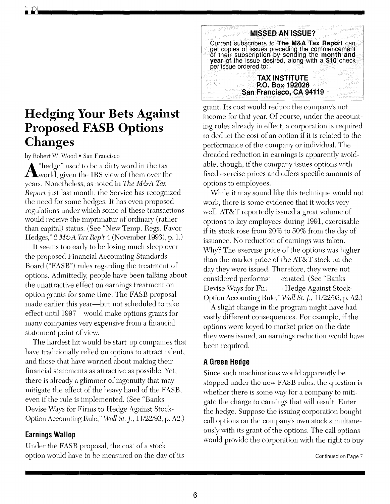# **Hedging Your Bets Against Proposed FASB Options Changes**

by Robert W. Wood • San Francisco

 $\mathbf{A}^{\text{``hedge''}}$  used to be a dirty word in the tax world, given the IRS view of them over the years. Nonetheless, as noted in *The M&A Tax Report* just last month, the Service has recognized the need for some hedges. It has even proposed regulations under which some of these transactions would receive the imprimatur of ordinary (rather than capital) status. (See "New Temp. Regs. Favor Hedges," 2 *M&A Tax Rep't* 4 (November 1993), p. l.)

It seems too early to be losing much sleep over the proposed Financial Accounting Standards Board ("FASB") rules regarding the treatment of options. Admittedly, people have been talking about the unattractive effect on earnings treatment on option grants for some time. The FASB proposal made earlier this year—but not scheduled to take effect until 1997-would make options grants for many companies very expensive from a financial statement point of view.

The hardest hit would be start-up companies that have traditionally relied on options to attract talent, and those that have worried about making their financial statements as attractive as possible. Yet, there is already a glimmer of ingenuity that may mitigate the effect of the heavy hand of the FASB, even if the rule is implemented. (See "Banks Devise Ways for Firms to Hedge Against Stock-Option Accounting Rule," *vVall St. j.,* 11/22/93, p. A2.)

# **Earnings Wallop**

Under the FASB proposal, the cost of a stock option would have to be measured on the day of its



grant. Its cost would reduce the company's net income for that year. Of course, under the accounting rules already in effect, a corporation is required to deduct the cost of an option if it is related to the performance of the company or individual. The dreaded reduction in earnings is apparently avoidable, though, if the company issues options with fixed exercise prices and offers specific amounts of options to employees.

vVhile it may sound like this technique would not work, there is some evidence that it works very well. AT&T reportedly issued a great volume of options to key employees during 1991, exercisable if its stock rose from 20% to 50% from the day of issuance. No reduction of earnings was taken. Why? The exercise price of the options was higher than the market price of the AT&T stock on the day they were issued. Therefore, they were not considered performa related. (See "Banks" Devise Ways for Fin Hedge Against Stock-Option Accounting Rule," *vVall St. j.,* 11/22/93, p. A2.)

A slight change in the program might have had vastly different consequences. For example, if the options were keyed to market price on the date they were issued, an earnings reduction would have been required.

# **A Green Hedge**

Since such machinations would apparently be stopped under the new FASB rules, the question is whether there is some way for a company to mitigate the charge to earnings that will result. Enter the hedge. Suppose the issuing corporation bought call options on the company's own stock simultaneously with its grant of the options. The call options would provide the corporation with the right to buy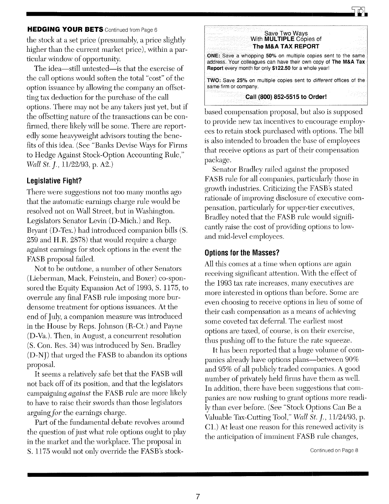### **HEDGING YOUR BETS** Continued from Page 6

the stock at a set price (presumably, a price slightly higher than the current market price), within a particular window of opportunity.

The idea-still untested- is that the exercise of the call options would soften the total "cost" of the option issuance by allowing the company an offsetting tax deduction for the purchase of the call options. There may not be any takers just yet, but if the offsetting nature of the transactions can be confirmed, there likely will be some. There are reportedly some heavyweight advisors touting the benefits of this idea. (See "Banks Devise Ways for Firms to Hedge Against Stock-Option Accounting Rule," *·Wall St. j.,* 11/22/93, p. A2.)

### **Legislative Fight?**

There were suggestions not too many months ago that the automatic earnings charge rule would be resolved not on Wall Street, but in Washington. Legislators Senator Levin (D-Mich.) and Rep. Bryant (D-Tex.) had introduced companion bills (S. 259 and H.R. 2878) that would require a charge against earnings for stock options in the event the FASB proposal failed.

Not to be outdone, a number of other Senators (Lieberman, Mack, Feinstein, and Boxer) co-sponsored the Equity Expansion Act of 1993, S. 1175, to overrule any final FASB rule imposing more burdensome treatment for options issuances. At the end of July, a companion measure was introduced in the House by Reps. Johnson (R-Ct.) and Payne (D-Va.). Then, in August, a concurrent resolution (S. Con. Res. 34) was introduced by Sen. Bradley (D-NJ) that urged the FASB to abandon its options proposal.

It seems a relatively safe bet that the FASB will not back off of its position, and that the legislators campaigning *against* the FASB rule are more likely to have to raise their swords than those legislators arguing for the earnings charge.

Part of the fundamental debate revolves around the question of just what role options ought to play in the market and the workplace. The proposal in S. 1175 would not only override the FASB's stock-



based compensation proposal, but also is supposed to provide new tax incentives to encourage employees to retain stock purchased with options. The bill is also intended to broaden the base of employees that receive options as part of their compensation package.

Senator Bradley railed against the proposed FASB rule for all companies, particularly those in growth industries. Criticizing the FASB's stated rationale of improving disclosure of executive compensation, particularly for upper-tier executives, Bradley noted that the FASB rule would significantly raise the cost of providing options to lowand mid-level employees.

#### **Options for the Masses?**

All this comes at a time when options are again receiving significant attention. With the effect of the 1993 tax rate increases, many executives are more interested in options than before. Some are even choosing to receive options in lieu of some of their cash compensation as a means of achieving some coveted tax deferral. The earliest most options are taxed, of course, is on their exercise, thus pushing off to the future the rate squeeze.

**It** has been reported that a huge volume of companies already have options plans-between 90% and 95% of all publicly traded companies. A good number of privately held firms have them as well. **In** addition, there have been suggestions that companies are now rushing to grant options more readily than ever before. (See "Stock Options Can Be a Valuable Tax-Cutting Tool," *Wall St. j.,* 11/24/93, p. Cl.) At least one reason for this renewed activity is the anticipation of imminent FASB rule changes,